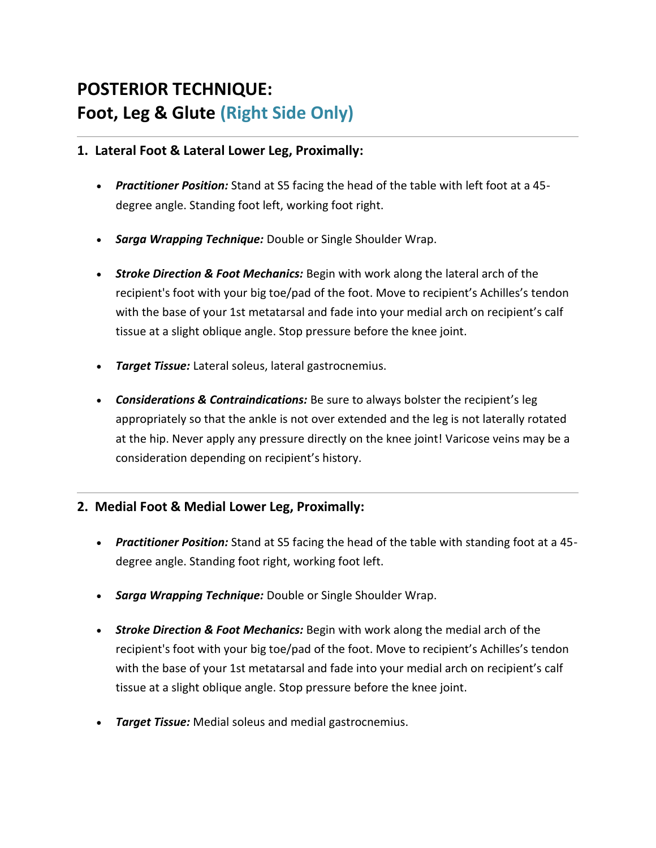# **POSTERIOR TECHNIQUE: Foot, Leg & Glute (Right Side Only)**

#### **1. Lateral Foot & Lateral Lower Leg, Proximally:**

- *Practitioner Position:* Stand at S5 facing the head of the table with left foot at a 45 degree angle. Standing foot left, working foot right.
- *Sarga Wrapping Technique:* Double or Single Shoulder Wrap.
- *Stroke Direction & Foot Mechanics:* Begin with work along the lateral arch of the recipient's foot with your big toe/pad of the foot. Move to recipient's Achilles's tendon with the base of your 1st metatarsal and fade into your medial arch on recipient's calf tissue at a slight oblique angle. Stop pressure before the knee joint.
- *Target Tissue:* Lateral soleus, lateral gastrocnemius.
- *Considerations & Contraindications:* Be sure to always bolster the recipient's leg appropriately so that the ankle is not over extended and the leg is not laterally rotated at the hip. Never apply any pressure directly on the knee joint! Varicose veins may be a consideration depending on recipient's history.

### **2. Medial Foot & Medial Lower Leg, Proximally:**

- *Practitioner Position:* Stand at S5 facing the head of the table with standing foot at a 45 degree angle. Standing foot right, working foot left.
- *Sarga Wrapping Technique:* Double or Single Shoulder Wrap.
- *Stroke Direction & Foot Mechanics:* Begin with work along the medial arch of the recipient's foot with your big toe/pad of the foot. Move to recipient's Achilles's tendon with the base of your 1st metatarsal and fade into your medial arch on recipient's calf tissue at a slight oblique angle. Stop pressure before the knee joint.
- *Target Tissue:* Medial soleus and medial gastrocnemius.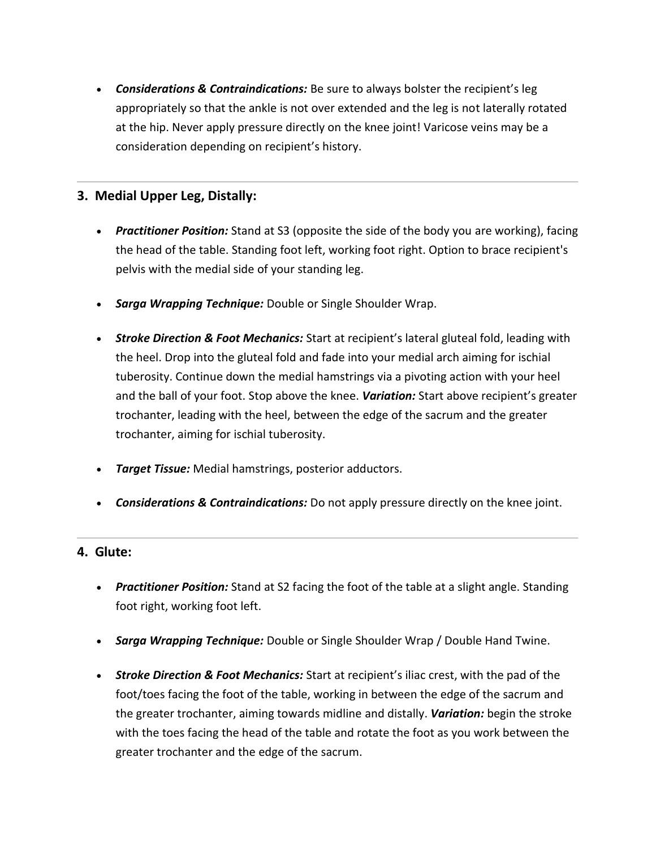• *Considerations & Contraindications:* Be sure to always bolster the recipient's leg appropriately so that the ankle is not over extended and the leg is not laterally rotated at the hip. Never apply pressure directly on the knee joint! Varicose veins may be a consideration depending on recipient's history.

#### **3. Medial Upper Leg, Distally:**

- *Practitioner Position:* Stand at S3 (opposite the side of the body you are working), facing the head of the table. Standing foot left, working foot right. Option to brace recipient's pelvis with the medial side of your standing leg.
- *Sarga Wrapping Technique:* Double or Single Shoulder Wrap.
- *Stroke Direction & Foot Mechanics:* Start at recipient's lateral gluteal fold, leading with the heel. Drop into the gluteal fold and fade into your medial arch aiming for ischial tuberosity. Continue down the medial hamstrings via a pivoting action with your heel and the ball of your foot. Stop above the knee. *Variation:* Start above recipient's greater trochanter, leading with the heel, between the edge of the sacrum and the greater trochanter, aiming for ischial tuberosity.
- *Target Tissue:* Medial hamstrings, posterior adductors.
- *Considerations & Contraindications:* Do not apply pressure directly on the knee joint.

#### **4. Glute:**

- *Practitioner Position:* Stand at S2 facing the foot of the table at a slight angle. Standing foot right, working foot left.
- *Sarga Wrapping Technique:* Double or Single Shoulder Wrap / Double Hand Twine.
- *Stroke Direction & Foot Mechanics:* Start at recipient's iliac crest, with the pad of the foot/toes facing the foot of the table, working in between the edge of the sacrum and the greater trochanter, aiming towards midline and distally. *Variation:* begin the stroke with the toes facing the head of the table and rotate the foot as you work between the greater trochanter and the edge of the sacrum.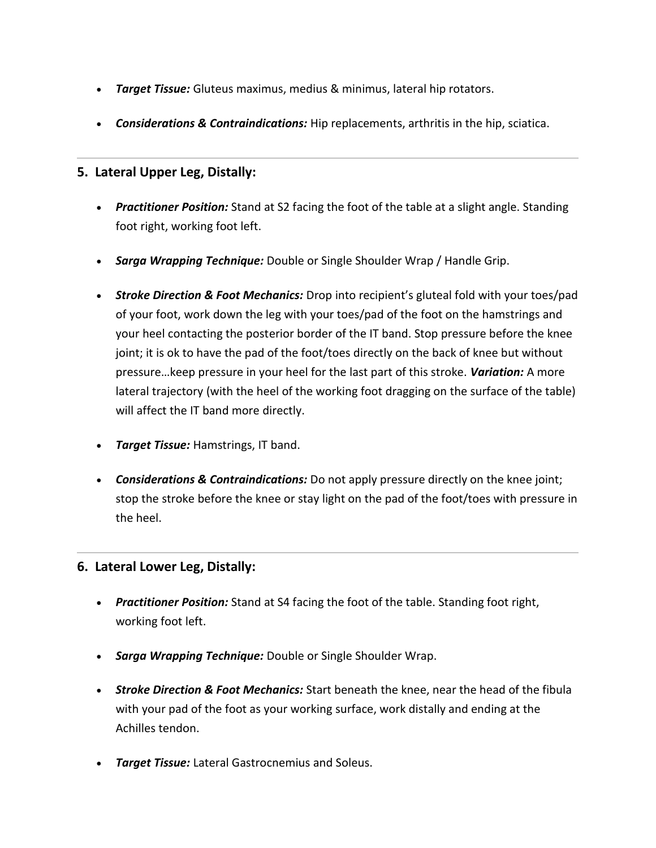- *Target Tissue:* Gluteus maximus, medius & minimus, lateral hip rotators.
- *Considerations & Contraindications:* Hip replacements, arthritis in the hip, sciatica.

### **5. Lateral Upper Leg, Distally:**

- *Practitioner Position:* Stand at S2 facing the foot of the table at a slight angle. Standing foot right, working foot left.
- *Sarga Wrapping Technique:* Double or Single Shoulder Wrap / Handle Grip.
- *Stroke Direction & Foot Mechanics:* Drop into recipient's gluteal fold with your toes/pad of your foot, work down the leg with your toes/pad of the foot on the hamstrings and your heel contacting the posterior border of the IT band. Stop pressure before the knee joint; it is ok to have the pad of the foot/toes directly on the back of knee but without pressure…keep pressure in your heel for the last part of this stroke. *Variation:* A more lateral trajectory (with the heel of the working foot dragging on the surface of the table) will affect the IT band more directly.
- *Target Tissue:* Hamstrings, IT band.
- *Considerations & Contraindications:* Do not apply pressure directly on the knee joint; stop the stroke before the knee or stay light on the pad of the foot/toes with pressure in the heel.

### **6. Lateral Lower Leg, Distally:**

- *Practitioner Position:* Stand at S4 facing the foot of the table. Standing foot right, working foot left.
- *Sarga Wrapping Technique:* Double or Single Shoulder Wrap.
- *Stroke Direction & Foot Mechanics:* Start beneath the knee, near the head of the fibula with your pad of the foot as your working surface, work distally and ending at the Achilles tendon.
- *Target Tissue:* Lateral Gastrocnemius and Soleus.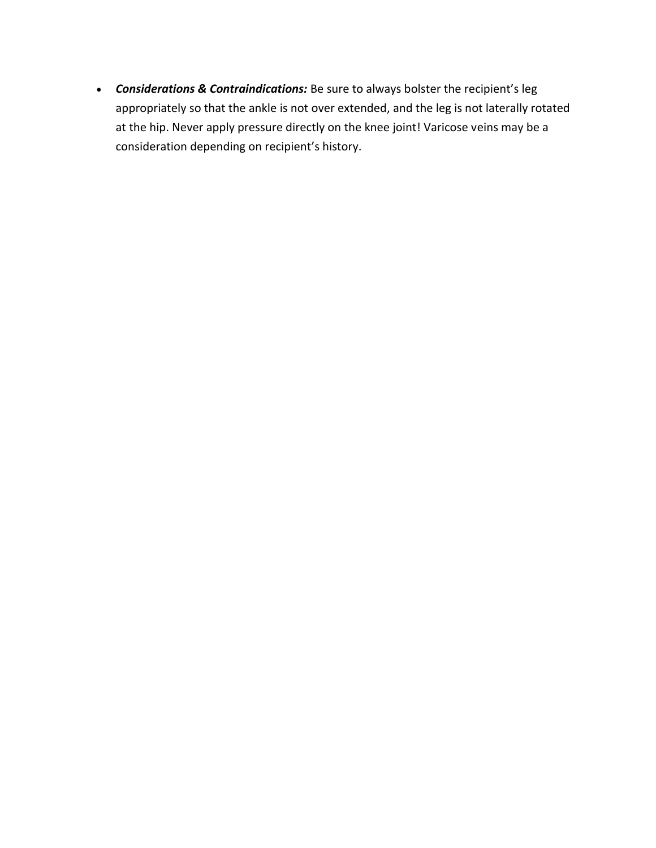• *Considerations & Contraindications:* Be sure to always bolster the recipient's leg appropriately so that the ankle is not over extended, and the leg is not laterally rotated at the hip. Never apply pressure directly on the knee joint! Varicose veins may be a consideration depending on recipient's history.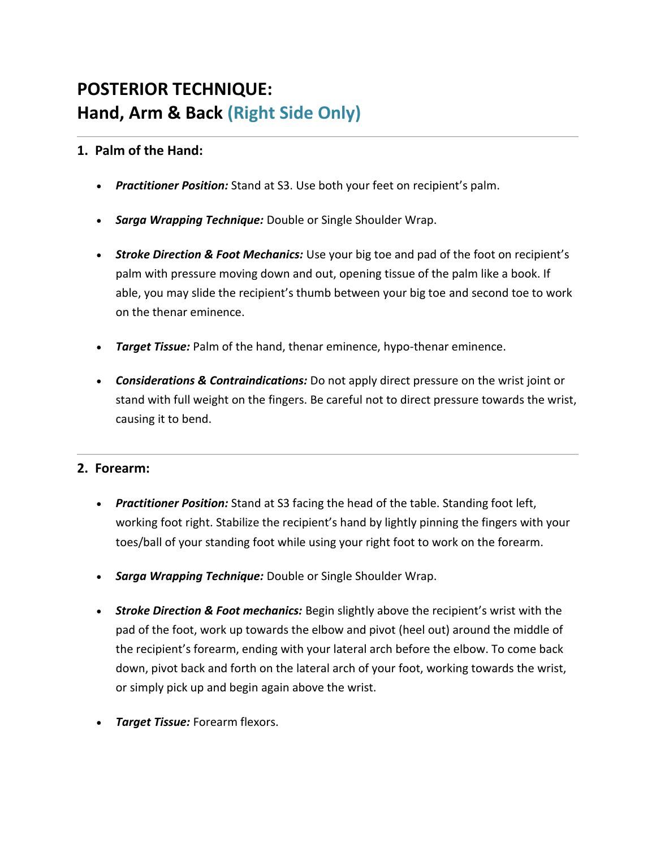# **POSTERIOR TECHNIQUE: Hand, Arm & Back (Right Side Only)**

### **1. Palm of the Hand:**

- *Practitioner Position:* Stand at S3. Use both your feet on recipient's palm.
- *Sarga Wrapping Technique:* Double or Single Shoulder Wrap.
- *Stroke Direction & Foot Mechanics:* Use your big toe and pad of the foot on recipient's palm with pressure moving down and out, opening tissue of the palm like a book. If able, you may slide the recipient's thumb between your big toe and second toe to work on the thenar eminence.
- *Target Tissue:* Palm of the hand, thenar eminence, hypo-thenar eminence.
- *Considerations & Contraindications:* Do not apply direct pressure on the wrist joint or stand with full weight on the fingers. Be careful not to direct pressure towards the wrist, causing it to bend.

### **2. Forearm:**

- *Practitioner Position:* Stand at S3 facing the head of the table. Standing foot left, working foot right. Stabilize the recipient's hand by lightly pinning the fingers with your toes/ball of your standing foot while using your right foot to work on the forearm.
- *Sarga Wrapping Technique:* Double or Single Shoulder Wrap.
- *Stroke Direction & Foot mechanics:* Begin slightly above the recipient's wrist with the pad of the foot, work up towards the elbow and pivot (heel out) around the middle of the recipient's forearm, ending with your lateral arch before the elbow. To come back down, pivot back and forth on the lateral arch of your foot, working towards the wrist, or simply pick up and begin again above the wrist.
- *Target Tissue:* Forearm flexors.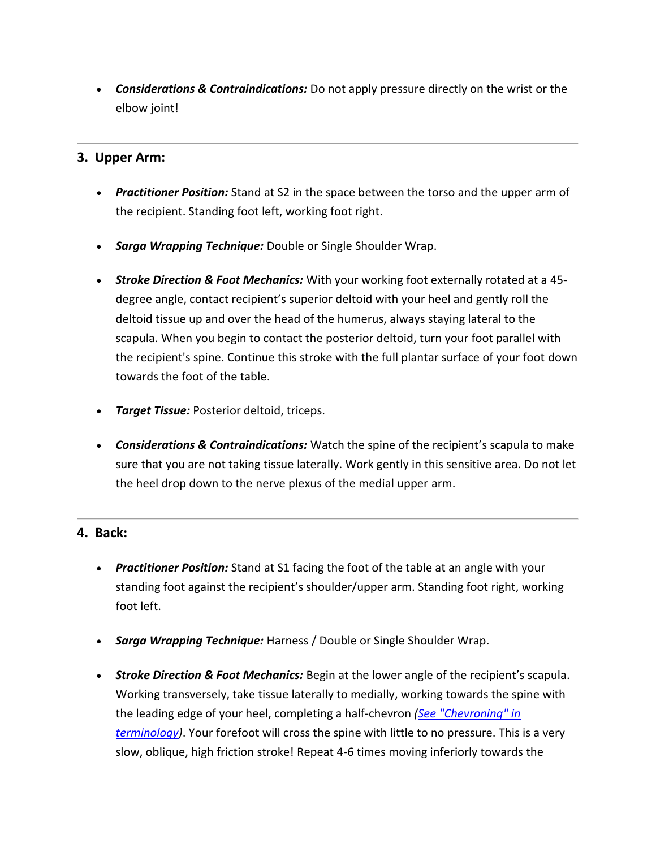• *Considerations & Contraindications:* Do not apply pressure directly on the wrist or the elbow joint!

#### **3. Upper Arm:**

- *Practitioner Position:* Stand at S2 in the space between the torso and the upper arm of the recipient. Standing foot left, working foot right.
- *Sarga Wrapping Technique:* Double or Single Shoulder Wrap.
- *Stroke Direction & Foot Mechanics:* With your working foot externally rotated at a 45 degree angle, contact recipient's superior deltoid with your heel and gently roll the deltoid tissue up and over the head of the humerus, always staying lateral to the scapula. When you begin to contact the posterior deltoid, turn your foot parallel with the recipient's spine. Continue this stroke with the full plantar surface of your foot down towards the foot of the table.
- *Target Tissue:* Posterior deltoid, triceps.
- *Considerations & Contraindications:* Watch the spine of the recipient's scapula to make sure that you are not taking tissue laterally. Work gently in this sensitive area. Do not let the heel drop down to the nerve plexus of the medial upper arm.

#### **4. Back:**

- *Practitioner Position:* Stand at S1 facing the foot of the table at an angle with your standing foot against the recipient's shoulder/upper arm. Standing foot right, working foot left.
- *Sarga Wrapping Technique:* Harness / Double or Single Shoulder Wrap.
- *Stroke Direction & Foot Mechanics:* Begin at the lower angle of the recipient's scapula. Working transversely, take tissue laterally to medially, working towards the spine with the leading edge of your heel, completing a half-chevron *[\(See "Chevroning" in](http://www.sargabodywork.com/terminology.html)  [terminology\)](http://www.sargabodywork.com/terminology.html)*. Your forefoot will cross the spine with little to no pressure. This is a very slow, oblique, high friction stroke! Repeat 4-6 times moving inferiorly towards the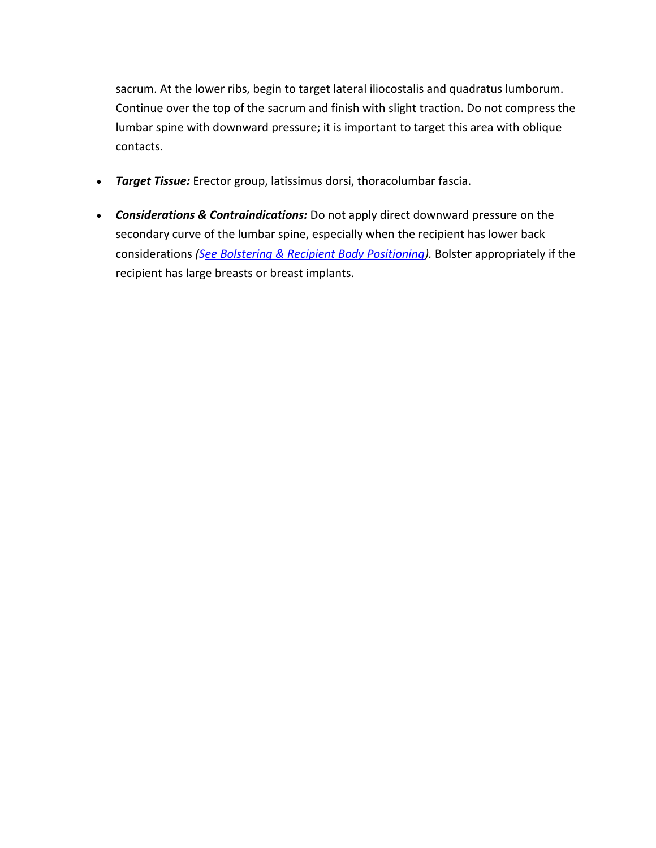sacrum. At the lower ribs, begin to target lateral iliocostalis and quadratus lumborum. Continue over the top of the sacrum and finish with slight traction. Do not compress the lumbar spine with downward pressure; it is important to target this area with oblique contacts.

- *Target Tissue:* Erector group, latissimus dorsi, thoracolumbar fascia.
- *Considerations & Contraindications:* Do not apply direct downward pressure on the secondary curve of the lumbar spine, especially when the recipient has lower back considerations *[\(See Bolstering & Recipient Body Positioning\)](http://www.sargabodywork.com/bolstering--recipient-body-positioning.html).* Bolster appropriately if the recipient has large breasts or breast implants.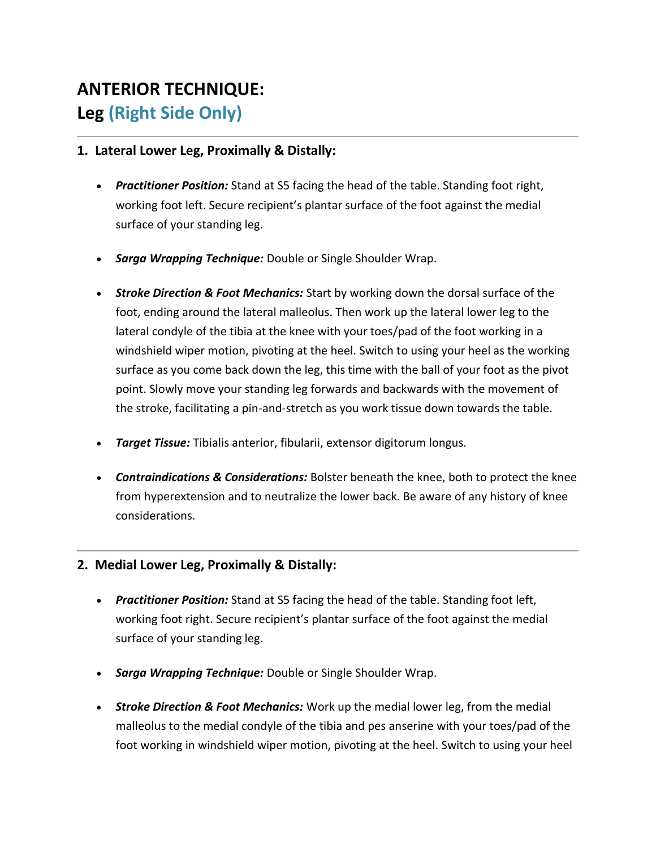# **ANTERIOR TECHNIQUE: Leg (Right Side Only)**

#### **1. Lateral Lower Leg, Proximally & Distally:**

- *Practitioner Position:* Stand at S5 facing the head of the table. Standing foot right, working foot left. Secure recipient's plantar surface of the foot against the medial surface of your standing leg.
- *Sarga Wrapping Technique:* Double or Single Shoulder Wrap.
- *Stroke Direction & Foot Mechanics:* Start by working down the dorsal surface of the foot, ending around the lateral malleolus. Then work up the lateral lower leg to the lateral condyle of the tibia at the knee with your toes/pad of the foot working in a windshield wiper motion, pivoting at the heel. Switch to using your heel as the working surface as you come back down the leg, this time with the ball of your foot as the pivot point. Slowly move your standing leg forwards and backwards with the movement of the stroke, facilitating a pin-and-stretch as you work tissue down towards the table.
- *Target Tissue:* Tibialis anterior, fibularii, extensor digitorum longus.
- *Contraindications & Considerations:* Bolster beneath the knee, both to protect the knee from hyperextension and to neutralize the lower back. Be aware of any history of knee considerations.

### **2. Medial Lower Leg, Proximally & Distally:**

- *Practitioner Position:* Stand at S5 facing the head of the table. Standing foot left, working foot right. Secure recipient's plantar surface of the foot against the medial surface of your standing leg.
- *Sarga Wrapping Technique:* Double or Single Shoulder Wrap.
- *Stroke Direction & Foot Mechanics:* Work up the medial lower leg, from the medial malleolus to the medial condyle of the tibia and pes anserine with your toes/pad of the foot working in windshield wiper motion, pivoting at the heel. Switch to using your heel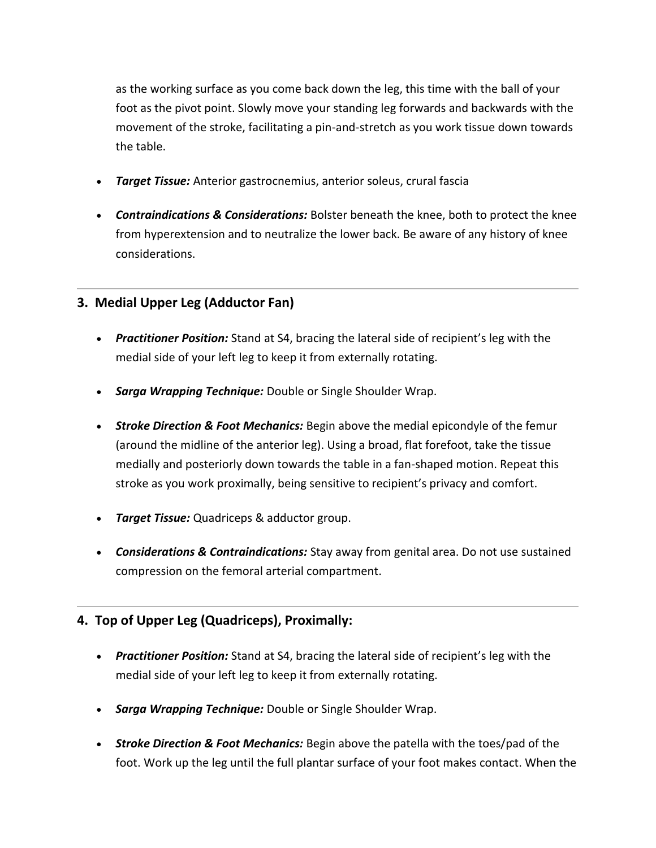as the working surface as you come back down the leg, this time with the ball of your foot as the pivot point. Slowly move your standing leg forwards and backwards with the movement of the stroke, facilitating a pin-and-stretch as you work tissue down towards the table.

- *Target Tissue:* Anterior gastrocnemius, anterior soleus, crural fascia
- *Contraindications & Considerations:* Bolster beneath the knee, both to protect the knee from hyperextension and to neutralize the lower back. Be aware of any history of knee considerations.

## **3. Medial Upper Leg (Adductor Fan)**

- *Practitioner Position:* Stand at S4, bracing the lateral side of recipient's leg with the medial side of your left leg to keep it from externally rotating.
- *Sarga Wrapping Technique:* Double or Single Shoulder Wrap.
- *Stroke Direction & Foot Mechanics:* Begin above the medial epicondyle of the femur (around the midline of the anterior leg). Using a broad, flat forefoot, take the tissue medially and posteriorly down towards the table in a fan-shaped motion. Repeat this stroke as you work proximally, being sensitive to recipient's privacy and comfort.
- *Target Tissue:* Quadriceps & adductor group.
- *Considerations & Contraindications:* Stay away from genital area. Do not use sustained compression on the femoral arterial compartment.

## **4. Top of Upper Leg (Quadriceps), Proximally:**

- *Practitioner Position:* Stand at S4, bracing the lateral side of recipient's leg with the medial side of your left leg to keep it from externally rotating.
- *Sarga Wrapping Technique:* Double or Single Shoulder Wrap.
- *Stroke Direction & Foot Mechanics:* Begin above the patella with the toes/pad of the foot. Work up the leg until the full plantar surface of your foot makes contact. When the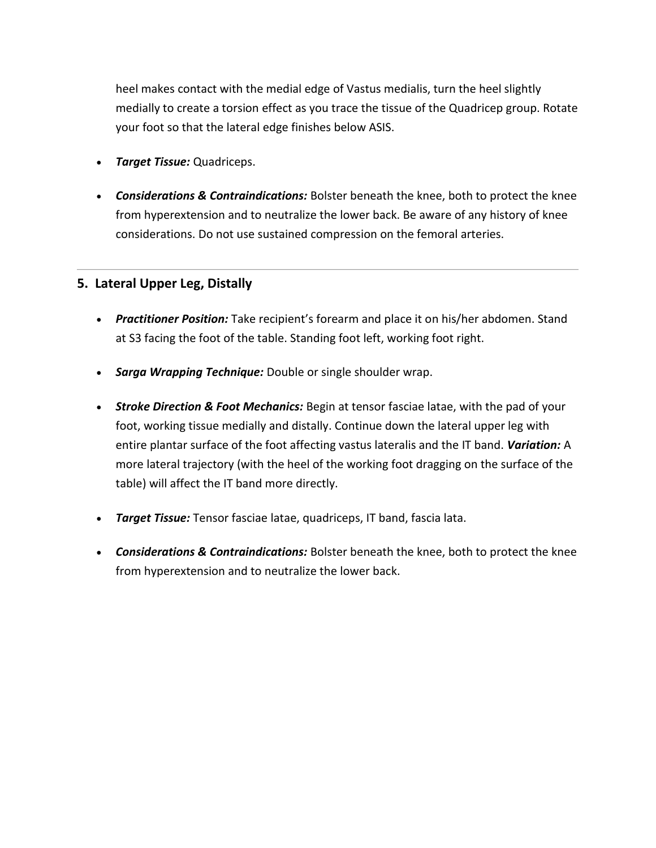heel makes contact with the medial edge of Vastus medialis, turn the heel slightly medially to create a torsion effect as you trace the tissue of the Quadricep group. Rotate your foot so that the lateral edge finishes below ASIS.

- *Target Tissue:* Quadriceps.
- *Considerations & Contraindications:* Bolster beneath the knee, both to protect the knee from hyperextension and to neutralize the lower back. Be aware of any history of knee considerations. Do not use sustained compression on the femoral arteries.

#### **5. Lateral Upper Leg, Distally**

- *Practitioner Position:* Take recipient's forearm and place it on his/her abdomen. Stand at S3 facing the foot of the table. Standing foot left, working foot right.
- *Sarga Wrapping Technique:* Double or single shoulder wrap.
- *Stroke Direction & Foot Mechanics:* Begin at tensor fasciae latae, with the pad of your foot, working tissue medially and distally. Continue down the lateral upper leg with entire plantar surface of the foot affecting vastus lateralis and the IT band. *Variation:* A more lateral trajectory (with the heel of the working foot dragging on the surface of the table) will affect the IT band more directly.
- *Target Tissue:* Tensor fasciae latae, quadriceps, IT band, fascia lata.
- *Considerations & Contraindications:* Bolster beneath the knee, both to protect the knee from hyperextension and to neutralize the lower back.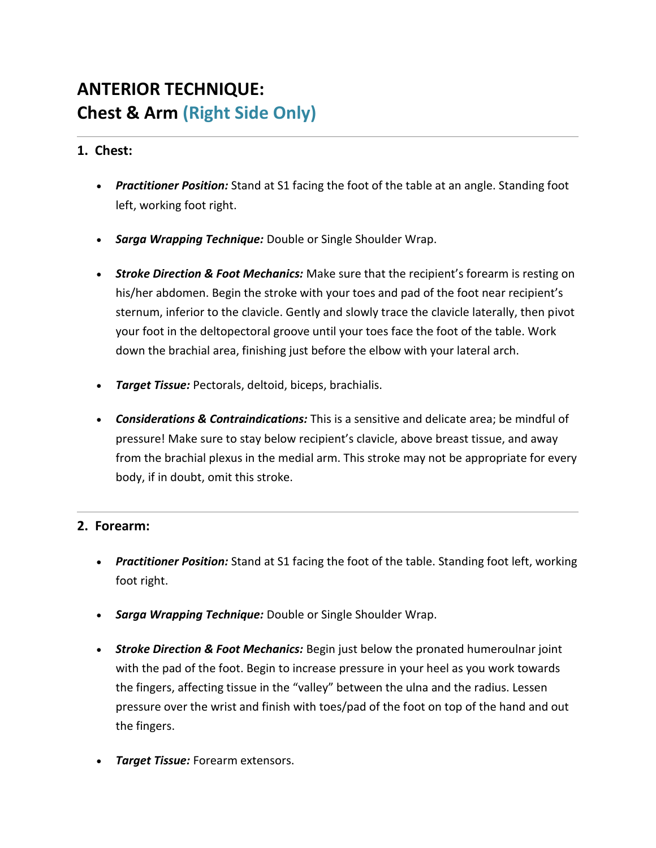# **ANTERIOR TECHNIQUE: Chest & Arm (Right Side Only)**

## **1. Chest:**

- *Practitioner Position:* Stand at S1 facing the foot of the table at an angle. Standing foot left, working foot right.
- *Sarga Wrapping Technique:* Double or Single Shoulder Wrap.
- *Stroke Direction & Foot Mechanics:* Make sure that the recipient's forearm is resting on his/her abdomen. Begin the stroke with your toes and pad of the foot near recipient's sternum, inferior to the clavicle. Gently and slowly trace the clavicle laterally, then pivot your foot in the deltopectoral groove until your toes face the foot of the table. Work down the brachial area, finishing just before the elbow with your lateral arch.
- *Target Tissue:* Pectorals, deltoid, biceps, brachialis.
- *Considerations & Contraindications:* This is a sensitive and delicate area; be mindful of pressure! Make sure to stay below recipient's clavicle, above breast tissue, and away from the brachial plexus in the medial arm. This stroke may not be appropriate for every body, if in doubt, omit this stroke.

### **2. Forearm:**

- *Practitioner Position:* Stand at S1 facing the foot of the table. Standing foot left, working foot right.
- *Sarga Wrapping Technique:* Double or Single Shoulder Wrap.
- *Stroke Direction & Foot Mechanics:* Begin just below the pronated humeroulnar joint with the pad of the foot. Begin to increase pressure in your heel as you work towards the fingers, affecting tissue in the "valley" between the ulna and the radius. Lessen pressure over the wrist and finish with toes/pad of the foot on top of the hand and out the fingers.
- *Target Tissue:* Forearm extensors.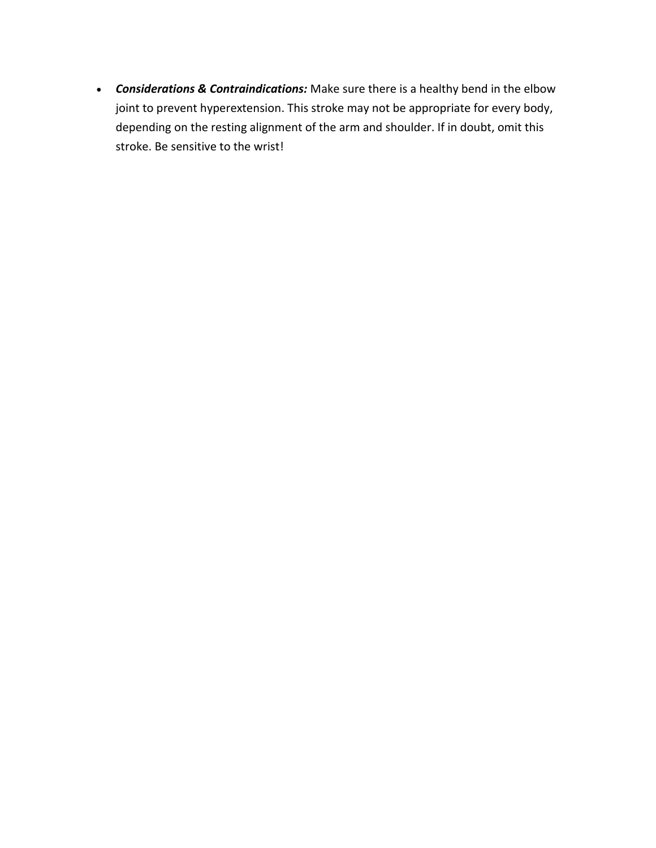• *Considerations & Contraindications:* Make sure there is a healthy bend in the elbow joint to prevent hyperextension. This stroke may not be appropriate for every body, depending on the resting alignment of the arm and shoulder. If in doubt, omit this stroke. Be sensitive to the wrist!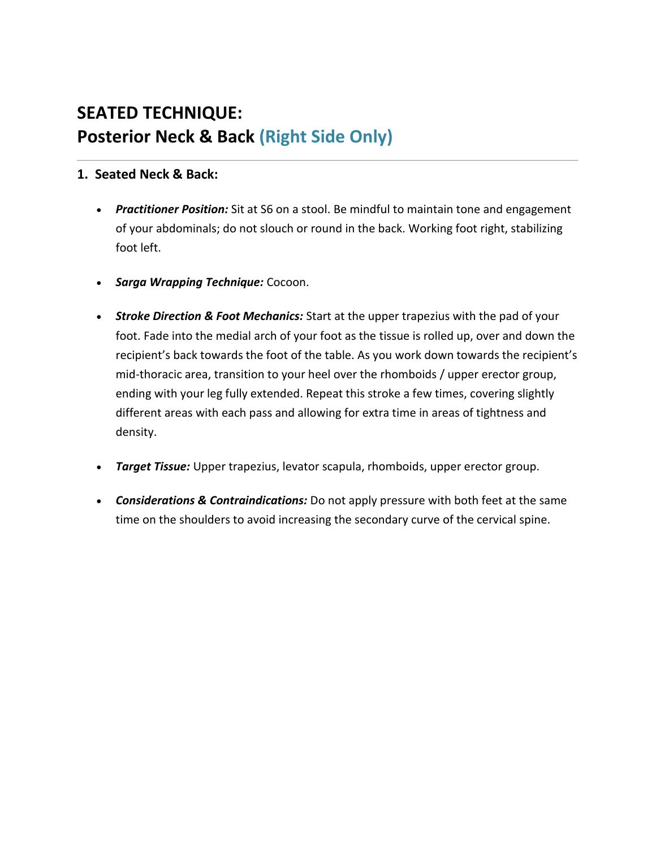## **SEATED TECHNIQUE: Posterior Neck & Back (Right Side Only)**

#### **1. Seated Neck & Back:**

- *Practitioner Position:* Sit at S6 on a stool. Be mindful to maintain tone and engagement of your abdominals; do not slouch or round in the back. Working foot right, stabilizing foot left.
- *Sarga Wrapping Technique:* Cocoon.
- *Stroke Direction & Foot Mechanics:* Start at the upper trapezius with the pad of your foot. Fade into the medial arch of your foot as the tissue is rolled up, over and down the recipient's back towards the foot of the table. As you work down towards the recipient's mid-thoracic area, transition to your heel over the rhomboids / upper erector group, ending with your leg fully extended. Repeat this stroke a few times, covering slightly different areas with each pass and allowing for extra time in areas of tightness and density.
- *Target Tissue:* Upper trapezius, levator scapula, rhomboids, upper erector group.
- *Considerations & Contraindications:* Do not apply pressure with both feet at the same time on the shoulders to avoid increasing the secondary curve of the cervical spine.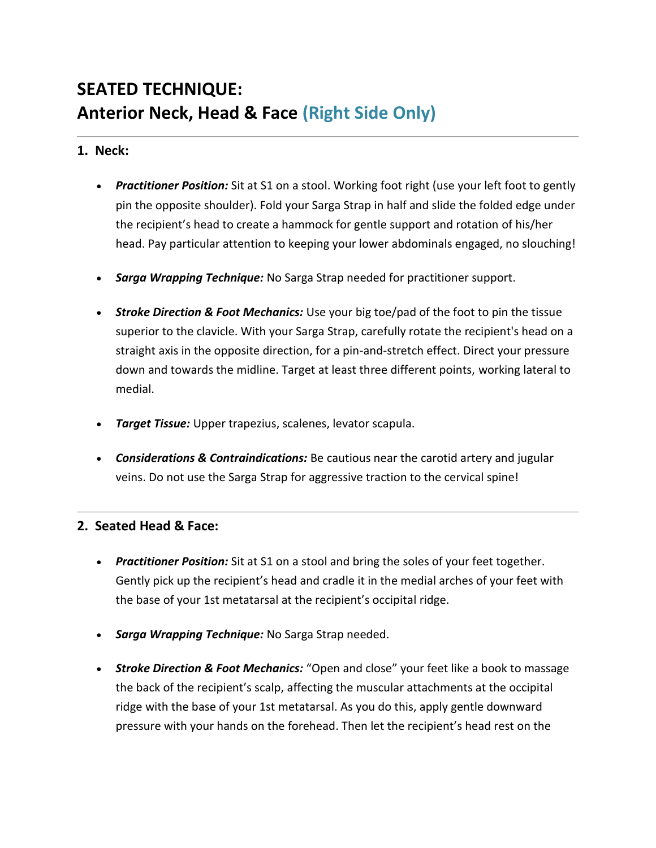# **SEATED TECHNIQUE: Anterior Neck, Head & Face (Right Side Only)**

### **1. Neck:**

- *Practitioner Position:* Sit at S1 on a stool. Working foot right (use your left foot to gently pin the opposite shoulder). Fold your Sarga Strap in half and slide the folded edge under the recipient's head to create a hammock for gentle support and rotation of his/her head. Pay particular attention to keeping your lower abdominals engaged, no slouching!
- *Sarga Wrapping Technique:* No Sarga Strap needed for practitioner support.
- *Stroke Direction & Foot Mechanics:* Use your big toe/pad of the foot to pin the tissue superior to the clavicle. With your Sarga Strap, carefully rotate the recipient's head on a straight axis in the opposite direction, for a pin-and-stretch effect. Direct your pressure down and towards the midline. Target at least three different points, working lateral to medial.
- *Target Tissue:* Upper trapezius, scalenes, levator scapula.
- *Considerations & Contraindications:* Be cautious near the carotid artery and jugular veins. Do not use the Sarga Strap for aggressive traction to the cervical spine!

### **2. Seated Head & Face:**

- *Practitioner Position:* Sit at S1 on a stool and bring the soles of your feet together. Gently pick up the recipient's head and cradle it in the medial arches of your feet with the base of your 1st metatarsal at the recipient's occipital ridge.
- *Sarga Wrapping Technique:* No Sarga Strap needed.
- *Stroke Direction & Foot Mechanics:* "Open and close" your feet like a book to massage the back of the recipient's scalp, affecting the muscular attachments at the occipital ridge with the base of your 1st metatarsal. As you do this, apply gentle downward pressure with your hands on the forehead. Then let the recipient's head rest on the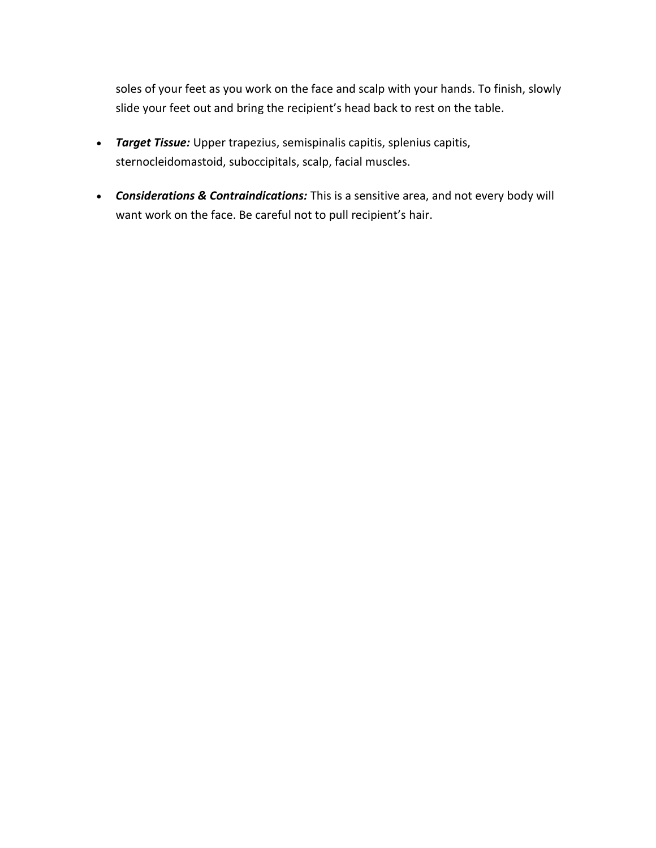soles of your feet as you work on the face and scalp with your hands. To finish, slowly slide your feet out and bring the recipient's head back to rest on the table.

- *Target Tissue:* Upper trapezius, semispinalis capitis, splenius capitis, sternocleidomastoid, suboccipitals, scalp, facial muscles.
- *Considerations & Contraindications:* This is a sensitive area, and not every body will want work on the face. Be careful not to pull recipient's hair.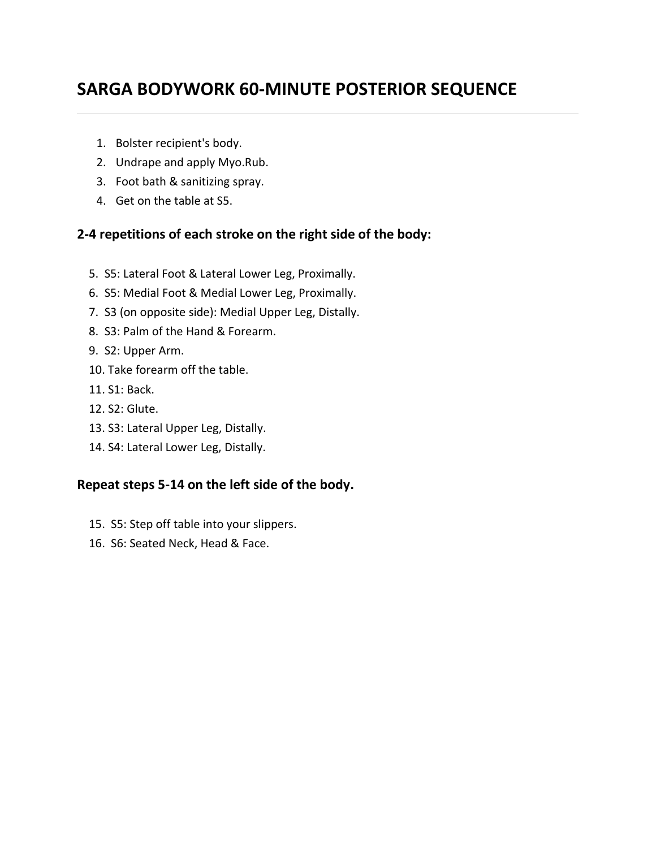## **SARGA BODYWORK 60-MINUTE POSTERIOR SEQUENCE**

- 1. Bolster recipient's body.
- 2. Undrape and apply Myo.Rub.
- 3. Foot bath & sanitizing spray.
- 4. Get on the table at S5.

## **2-4 repetitions of each stroke on the right side of the body:**

- 5. S5: Lateral Foot & Lateral Lower Leg, Proximally.
- 6. S5: Medial Foot & Medial Lower Leg, Proximally.
- 7. S3 (on opposite side): Medial Upper Leg, Distally.
- 8. S3: Palm of the Hand & Forearm.
- 9. S2: Upper Arm.
- 10. Take forearm off the table.
- 11. S1: Back.
- 12. S2: Glute.
- 13. S3: Lateral Upper Leg, Distally.
- 14. S4: Lateral Lower Leg, Distally.

## **Repeat steps 5-14 on the left side of the body.**

- 15. S5: Step off table into your slippers.
- 16. S6: Seated Neck, Head & Face.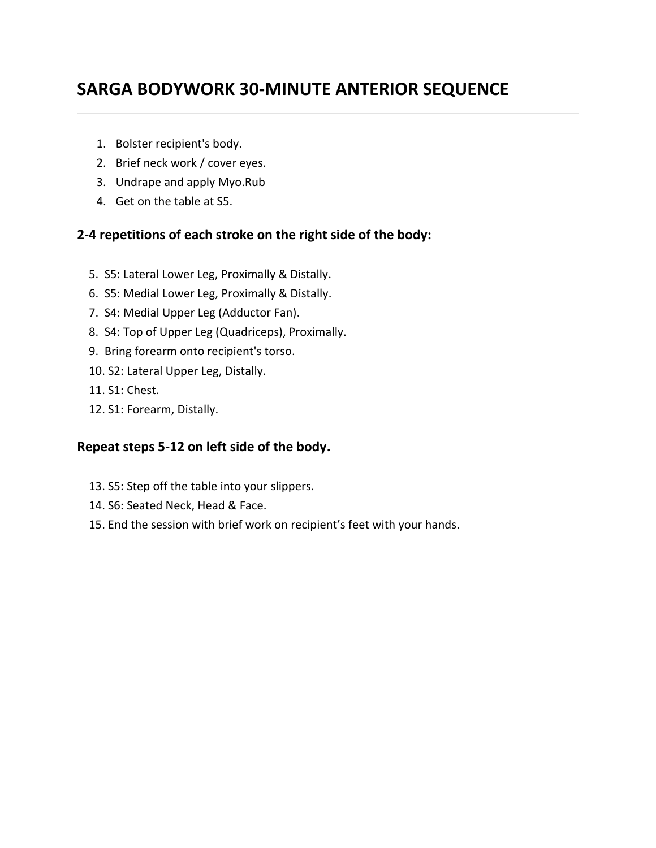## **SARGA BODYWORK 30-MINUTE ANTERIOR SEQUENCE**

- 1. Bolster recipient's body.
- 2. Brief neck work / cover eyes.
- 3. Undrape and apply Myo.Rub
- 4. Get on the table at S5.

#### **2-4 repetitions of each stroke on the right side of the body:**

- 5. S5: Lateral Lower Leg, Proximally & Distally.
- 6. S5: Medial Lower Leg, Proximally & Distally.
- 7. S4: Medial Upper Leg (Adductor Fan).
- 8. S4: Top of Upper Leg (Quadriceps), Proximally.
- 9. Bring forearm onto recipient's torso.
- 10. S2: Lateral Upper Leg, Distally.
- 11. S1: Chest.
- 12. S1: Forearm, Distally.

### **Repeat steps 5-12 on left side of the body.**

- 13. S5: Step off the table into your slippers.
- 14. S6: Seated Neck, Head & Face.
- 15. End the session with brief work on recipient's feet with your hands.